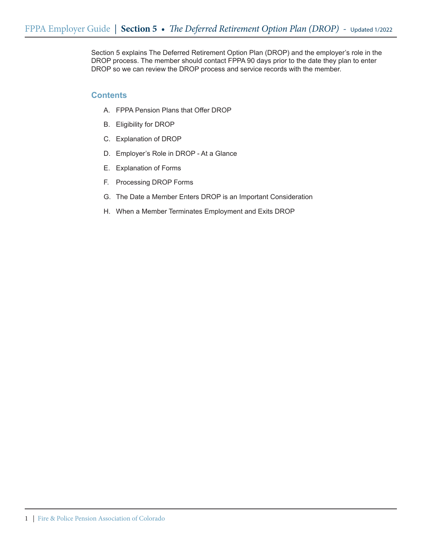Section 5 explains The Deferred Retirement Option Plan (DROP) and the employer's role in the DROP process. The member should contact FPPA 90 days prior to the date they plan to enter DROP so we can review the DROP process and service records with the member.

## **Contents**

- A. FPPA Pension Plans that Offer DROP
- B. Eligibility for DROP
- C. Explanation of DROP
- D. Employer's Role in DROP At a Glance
- E. Explanation of Forms
- F. Processing DROP Forms
- G. The Date a Member Enters DROP is an Important Consideration
- H. When a Member Terminates Employment and Exits DROP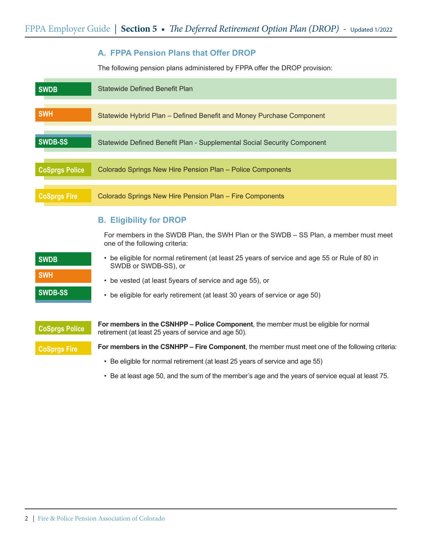## **A. FPPA Pension Plans that Offer DROP**

The following pension plans administered by FPPA offer the DROP provision:

| <b>SWDB</b>           | Statewide Defined Benefit Plan                                          |
|-----------------------|-------------------------------------------------------------------------|
| <b>SWH</b>            | Statewide Hybrid Plan - Defined Benefit and Money Purchase Component    |
| SWDB-SS               | Statewide Defined Benefit Plan - Supplemental Social Security Component |
| <b>CoSprgs Police</b> | Colorado Springs New Hire Pension Plan - Police Components              |
| <b>CoSprgs Fire</b>   | Colorado Springs New Hire Pension Plan - Fire Components                |

## **B. Eligibility for DROP**

For members in the SWDB Plan, the SWH Plan or the SWDB – SS Plan, a member must meet one of the following criteria:

| <b>SWDB</b>    | • be eligible for normal retirement (at least 25 years of service and age 55 or Rule of 80 in<br>SWDB or SWDB-SS), or |
|----------------|-----------------------------------------------------------------------------------------------------------------------|
| <b>SWH</b>     | • be vested (at least 5 years of service and age 55), or                                                              |
| <b>SWDB-SS</b> | • be eligible for early retirement (at least 30 years of service or age 50)                                           |

| <b>CoSprgs Police</b> | <b>For members in the CSNHPP – Police Component, the member must be eligible for normal</b><br>retirement (at least 25 years of service and age 50). |
|-----------------------|------------------------------------------------------------------------------------------------------------------------------------------------------|
| <b>CoSprgs Fire</b>   | For members in the CSNHPP - Fire Component, the member must meet one of the following criteria:                                                      |
|                       | • Be eligible for normal retirement (at least 25 years of service and age 55)                                                                        |

• Be at least age 50, and the sum of the member's age and the years of service equal at least 75.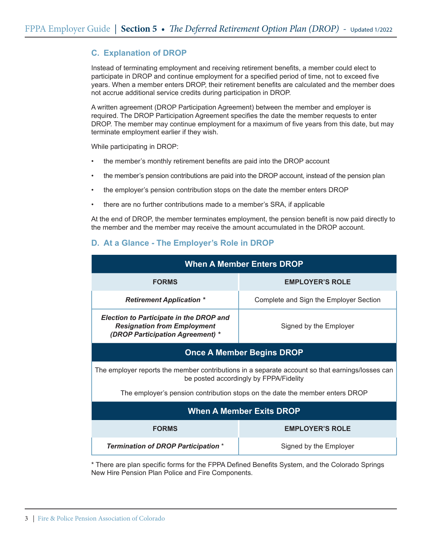# **C. Explanation of DROP**

Instead of terminating employment and receiving retirement benefits, a member could elect to participate in DROP and continue employment for a specified period of time, not to exceed five years. When a member enters DROP, their retirement benefits are calculated and the member does not accrue additional service credits during participation in DROP.

A written agreement (DROP Participation Agreement) between the member and employer is required. The DROP Participation Agreement specifies the date the member requests to enter DROP. The member may continue employment for a maximum of five years from this date, but may terminate employment earlier if they wish.

While participating in DROP:

- the member's monthly retirement benefits are paid into the DROP account
- the member's pension contributions are paid into the DROP account, instead of the pension plan
- the employer's pension contribution stops on the date the member enters DROP
- there are no further contributions made to a member's SRA, if applicable

At the end of DROP, the member terminates employment, the pension benefit is now paid directly to the member and the member may receive the amount accumulated in the DROP account.

## **D. At a Glance - The Employer's Role in DROP**

| <b>When A Member Enters DROP</b>                                                                                                          |                                        |  |  |  |  |
|-------------------------------------------------------------------------------------------------------------------------------------------|----------------------------------------|--|--|--|--|
| <b>FORMS</b>                                                                                                                              | <b>EMPLOYER'S ROLE</b>                 |  |  |  |  |
| <b>Retirement Application *</b>                                                                                                           | Complete and Sign the Employer Section |  |  |  |  |
| <b>Election to Participate in the DROP and</b><br><b>Resignation from Employment</b><br>(DROP Participation Agreement) *                  | Signed by the Employer                 |  |  |  |  |
| <b>Once A Member Begins DROP</b>                                                                                                          |                                        |  |  |  |  |
| The employer reports the member contributions in a separate account so that earnings/losses can<br>be posted accordingly by FPPA/Fidelity |                                        |  |  |  |  |
| The employer's pension contribution stops on the date the member enters DROP                                                              |                                        |  |  |  |  |
| <b>When A Member Exits DROP</b>                                                                                                           |                                        |  |  |  |  |
| <b>FORMS</b>                                                                                                                              | <b>EMPLOYER'S ROLE</b>                 |  |  |  |  |
| <b>Termination of DROP Participation *</b>                                                                                                | Signed by the Employer                 |  |  |  |  |

\* There are plan specific forms for the FPPA Defined Benefits System, and the Colorado Springs New Hire Pension Plan Police and Fire Components.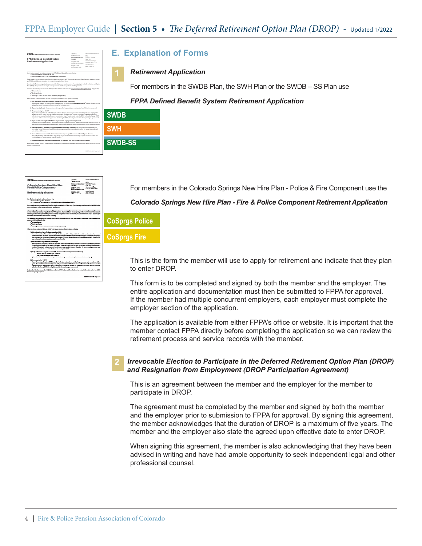| FPPA Fire & Police Pension Association of Colorado                                                                                                                                                                                                                                                                                         | Ourstons.<br>call and talk to a:<br>Banafir Arlesinistrator                                           | Return completed form to:<br>cops<br>5290 DTC Parkway |
|--------------------------------------------------------------------------------------------------------------------------------------------------------------------------------------------------------------------------------------------------------------------------------------------------------------------------------------------|-------------------------------------------------------------------------------------------------------|-------------------------------------------------------|
| <b>FPPA Defined Benefit System</b>                                                                                                                                                                                                                                                                                                         | Ext. 6400                                                                                             | Suite 100<br>Greenwood Village.                       |
| <b>Retirement Application</b>                                                                                                                                                                                                                                                                                                              | (303) 770-3772<br>in the Denver Metro area                                                            | Colorado 00111-2221                                   |
|                                                                                                                                                                                                                                                                                                                                            | (800) 332-3772<br>soll free nationwide                                                                | Or FAX form to:<br>(202) 771-7622                     |
| Use this form to apply for retirement under the FPPA Defined Benefit System including:<br>- Statewide Defined Benefit (SWDB) Plan.<br>- Statewide Hybrid (SWH) Plan - Defined Benefit Component.                                                                                                                                           |                                                                                                       |                                                       |
| For an explanation of your retirement benefits, refer to our website at FPPAco.org/benefits.html. If you have any questions, contact<br>an FPPA Benefit Administrator using the contact information listed above.                                                                                                                          |                                                                                                       |                                                       |
| Complete this Retirement Application approximately 45 days prior to retirement, or if participating in the Deferred Retirement Option<br>Plan (DROP). 45 days prior to electing to participate in the DROP along with the DROP Agreement.                                                                                                  |                                                                                                       |                                                       |
| Cooles of the following documents must be provided with the application for both you and your Primary Beneficiary (if applicable).                                                                                                                                                                                                         |                                                                                                       |                                                       |
| / Debuar's Scenes                                                                                                                                                                                                                                                                                                                          |                                                                                                       |                                                       |
| / Blath Cartificate                                                                                                                                                                                                                                                                                                                        |                                                                                                       |                                                       |
| / Marriage License or Civil Union Certificate (if apolicable)                                                                                                                                                                                                                                                                              |                                                                                                       |                                                       |
| When electing a retirement date, or a DROP entry date, consider all your options, including:                                                                                                                                                                                                                                               |                                                                                                       |                                                       |
| 1) The calculation of your average three highest annual salary (HAS) years:                                                                                                                                                                                                                                                                |                                                                                                       |                                                       |
| If you receive a raise in the year you plan to retire or enter the DROR working through June 30th without a break in service<br>allows that year to be considered as one of the highest salary years.                                                                                                                                      |                                                                                                       |                                                       |
| 2) Earned Service Credit: To earn service credit in your final pay period, you must work at least 50% of the pay period.                                                                                                                                                                                                                   |                                                                                                       |                                                       |
| 31 Are you entering the DROP?                                                                                                                                                                                                                                                                                                              |                                                                                                       |                                                       |
| If you choose to participate in the DROR you retire in the plan: however, you continue working with your employer for<br>a maximum of five years. Your monthly pension benefit, along with your member contributions, are deposited into a                                                                                                 |                                                                                                       |                                                       |
| self-directed account at Fidelity. Employer contributions stop, If you decide to enter the DROP, include the 3-page DROP<br>agreement with the retirement application. If entering the DROR the entry date must be the beginning of a pay period.                                                                                          |                                                                                                       |                                                       |
| 4) If you are NOT estering the DROP, then do you want to begin payment right away?<br>Members who qualify for a Normal or Vested Retirement may defer the receipt of their Defined Benefit Pension to as late as<br>age 65. You will receive the actuarial equivalent of the Normal Retirement upon commencement of your benefit payments. |                                                                                                       |                                                       |
| 5) Early Retirement is available to a member between the ages of 50 through 54. The benefit that you yould have<br>received at Normal Retirement (age SS) is reduced on an actuarial equivalent basis to reflect the receipt of your benefit<br>prior to Normal Retirement.                                                                |                                                                                                       |                                                       |
| 6) Normal Retirement is available for members when they are 20e 55 and have at least 25 years of service.<br>Rule of 80. Members in the SWDB Plan may also qualify for Normal Retirement as early as age 50 when the sum of their<br>combined years of service and age totals 80 or more.                                                  |                                                                                                       |                                                       |
|                                                                                                                                                                                                                                                                                                                                            | 7) Vested Retirement is available for members age 55 and older, who have at least 5 years of service. |                                                       |
|                                                                                                                                                                                                                                                                                                                                            |                                                                                                       |                                                       |
| Looin to the Member Account Portal (MAP) or contact an FPPA Benefit Administrator using information at the top of this form to<br>compare your options.                                                                                                                                                                                    |                                                                                                       |                                                       |

## **E. Explanation of Forms**

#### **1** *Retirement Application*

For members in the SWDB Plan, the SWH Plan or the SWDB – SS Plan use

#### *FPPA Defined Benefit System Retirement Application*

| SWDB           |  |
|----------------|--|
| SWH            |  |
| <b>SWDB-SS</b> |  |
|                |  |

.<br>Colorado Springs New Hire Plan<br>Fire & Police Components **Retirement Application** this form is apply for milenment or<br>- Colomdo Springs New Hen Pla

For members in the Colorado Springs New Hire Plan - Police & Fire Component use the

#### *Colorado Springs New Hire Plan - Fire & Police Component Retirement Application*

# **CoSprgs Police**

**CoSprgs Fire**

This is the form the member will use to apply for retirement and indicate that they plan to enter DROP.

This form is to be completed and signed by both the member and the employer. The entire application and documentation must then be submitted to FPPA for approval. If the member had multiple concurrent employers, each employer must complete the employer section of the application.

The application is available from either FPPA's office or website. It is important that the member contact FPPA directly before completing the application so we can review the retirement process and service records with the member.

# **2**

#### *Irrevocable Election to Participate in the Deferred Retirement Option Plan (DROP) and Resignation from Employment (DROP Participation Agreement)*

This is an agreement between the member and the employer for the member to participate in DROP.

The agreement must be completed by the member and signed by both the member and the employer prior to submission to FPPA for approval. By signing this agreement, the member acknowledges that the duration of DROP is a maximum of five years. The member and the employer also state the agreed upon effective date to enter DROP.

When signing this agreement, the member is also acknowledging that they have been advised in writing and have had ample opportunity to seek independent legal and other professional counsel.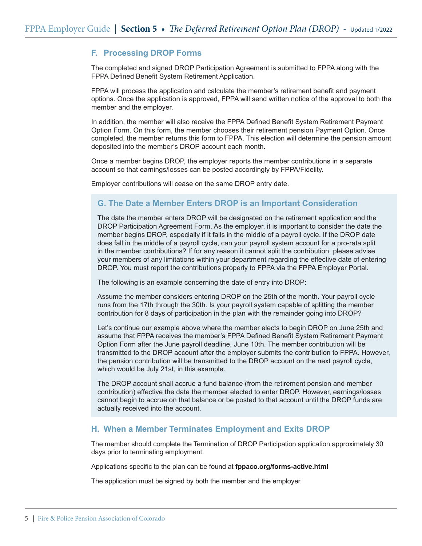## **F. Processing DROP Forms**

The completed and signed DROP Participation Agreement is submitted to FPPA along with the FPPA Defined Benefit System Retirement Application.

FPPA will process the application and calculate the member's retirement benefit and payment options. Once the application is approved, FPPA will send written notice of the approval to both the member and the employer.

In addition, the member will also receive the FPPA Defined Benefit System Retirement Payment Option Form. On this form, the member chooses their retirement pension Payment Option. Once completed, the member returns this form to FPPA. This election will determine the pension amount deposited into the member's DROP account each month.

Once a member begins DROP, the employer reports the member contributions in a separate account so that earnings/losses can be posted accordingly by FPPA/Fidelity.

Employer contributions will cease on the same DROP entry date.

# **G. The Date a Member Enters DROP is an Important Consideration**

The date the member enters DROP will be designated on the retirement application and the DROP Participation Agreement Form. As the employer, it is important to consider the date the member begins DROP, especially if it falls in the middle of a payroll cycle. If the DROP date does fall in the middle of a payroll cycle, can your payroll system account for a pro-rata split in the member contributions? If for any reason it cannot split the contribution, please advise your members of any limitations within your department regarding the effective date of entering DROP. You must report the contributions properly to FPPA via the FPPA Employer Portal.

The following is an example concerning the date of entry into DROP:

Assume the member considers entering DROP on the 25th of the month. Your payroll cycle runs from the 17th through the 30th. Is your payroll system capable of splitting the member contribution for 8 days of participation in the plan with the remainder going into DROP?

Let's continue our example above where the member elects to begin DROP on June 25th and assume that FPPA receives the member's FPPA Defined Benefit System Retirement Payment Option Form after the June payroll deadline, June 10th. The member contribution will be transmitted to the DROP account after the employer submits the contribution to FPPA. However, the pension contribution will be transmitted to the DROP account on the next payroll cycle, which would be July 21st, in this example.

The DROP account shall accrue a fund balance (from the retirement pension and member contribution) effective the date the member elected to enter DROP. However, earnings/losses cannot begin to accrue on that balance or be posted to that account until the DROP funds are actually received into the account.

## **H. When a Member Terminates Employment and Exits DROP**

The member should complete the Termination of DROP Participation application approximately 30 days prior to terminating employment.

Applications specific to the plan can be found at **fppaco.org/forms-active.html**

The application must be signed by both the member and the employer.